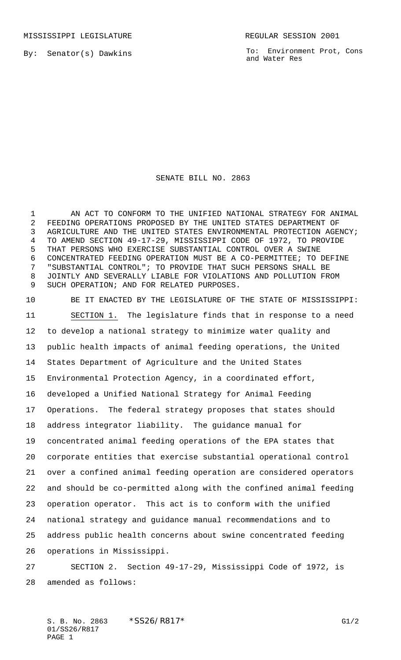By: Senator(s) Dawkins

To: Environment Prot, Cons and Water Res

## SENATE BILL NO. 2863

1 AN ACT TO CONFORM TO THE UNIFIED NATIONAL STRATEGY FOR ANIMAL FEEDING OPERATIONS PROPOSED BY THE UNITED STATES DEPARTMENT OF AGRICULTURE AND THE UNITED STATES ENVIRONMENTAL PROTECTION AGENCY; TO AMEND SECTION 49-17-29, MISSISSIPPI CODE OF 1972, TO PROVIDE THAT PERSONS WHO EXERCISE SUBSTANTIAL CONTROL OVER A SWINE CONCENTRATED FEEDING OPERATION MUST BE A CO-PERMITTEE; TO DEFINE "SUBSTANTIAL CONTROL"; TO PROVIDE THAT SUCH PERSONS SHALL BE JOINTLY AND SEVERALLY LIABLE FOR VIOLATIONS AND POLLUTION FROM SUCH OPERATION; AND FOR RELATED PURPOSES.

 BE IT ENACTED BY THE LEGISLATURE OF THE STATE OF MISSISSIPPI: SECTION 1. The legislature finds that in response to a need to develop a national strategy to minimize water quality and public health impacts of animal feeding operations, the United States Department of Agriculture and the United States Environmental Protection Agency, in a coordinated effort, developed a Unified National Strategy for Animal Feeding Operations. The federal strategy proposes that states should address integrator liability. The guidance manual for concentrated animal feeding operations of the EPA states that corporate entities that exercise substantial operational control over a confined animal feeding operation are considered operators and should be co-permitted along with the confined animal feeding operation operator. This act is to conform with the unified national strategy and guidance manual recommendations and to address public health concerns about swine concentrated feeding operations in Mississippi. SECTION 2. Section 49-17-29, Mississippi Code of 1972, is

amended as follows:

S. B. No. 2863 \* SS26/R817\* G1/2 01/SS26/R817 PAGE 1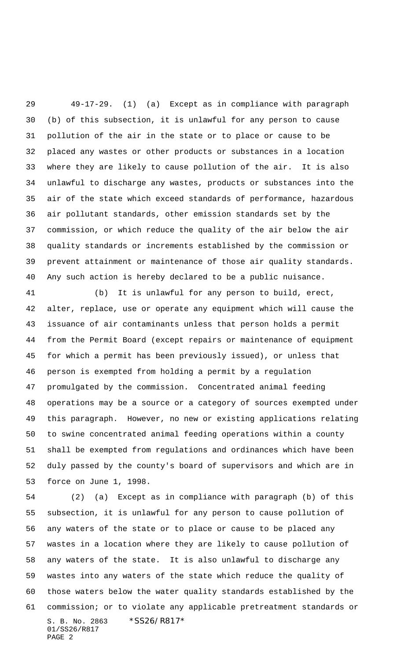49-17-29. (1) (a) Except as in compliance with paragraph (b) of this subsection, it is unlawful for any person to cause pollution of the air in the state or to place or cause to be placed any wastes or other products or substances in a location where they are likely to cause pollution of the air. It is also unlawful to discharge any wastes, products or substances into the air of the state which exceed standards of performance, hazardous air pollutant standards, other emission standards set by the commission, or which reduce the quality of the air below the air quality standards or increments established by the commission or prevent attainment or maintenance of those air quality standards. Any such action is hereby declared to be a public nuisance.

 (b) It is unlawful for any person to build, erect, alter, replace, use or operate any equipment which will cause the issuance of air contaminants unless that person holds a permit from the Permit Board (except repairs or maintenance of equipment for which a permit has been previously issued), or unless that person is exempted from holding a permit by a regulation promulgated by the commission. Concentrated animal feeding operations may be a source or a category of sources exempted under this paragraph. However, no new or existing applications relating to swine concentrated animal feeding operations within a county shall be exempted from regulations and ordinances which have been duly passed by the county's board of supervisors and which are in force on June 1, 1998.

S. B. No. 2863 \*SS26/R817\* 01/SS26/R817 PAGE 2 (2) (a) Except as in compliance with paragraph (b) of this subsection, it is unlawful for any person to cause pollution of any waters of the state or to place or cause to be placed any wastes in a location where they are likely to cause pollution of any waters of the state. It is also unlawful to discharge any wastes into any waters of the state which reduce the quality of those waters below the water quality standards established by the commission; or to violate any applicable pretreatment standards or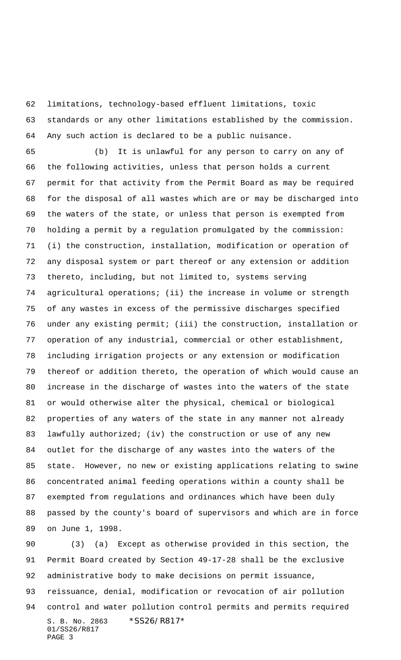limitations, technology-based effluent limitations, toxic standards or any other limitations established by the commission. Any such action is declared to be a public nuisance.

 (b) It is unlawful for any person to carry on any of the following activities, unless that person holds a current permit for that activity from the Permit Board as may be required for the disposal of all wastes which are or may be discharged into the waters of the state, or unless that person is exempted from holding a permit by a regulation promulgated by the commission: (i) the construction, installation, modification or operation of any disposal system or part thereof or any extension or addition thereto, including, but not limited to, systems serving agricultural operations; (ii) the increase in volume or strength of any wastes in excess of the permissive discharges specified under any existing permit; (iii) the construction, installation or operation of any industrial, commercial or other establishment, including irrigation projects or any extension or modification thereof or addition thereto, the operation of which would cause an increase in the discharge of wastes into the waters of the state or would otherwise alter the physical, chemical or biological properties of any waters of the state in any manner not already lawfully authorized; (iv) the construction or use of any new outlet for the discharge of any wastes into the waters of the state. However, no new or existing applications relating to swine concentrated animal feeding operations within a county shall be exempted from regulations and ordinances which have been duly passed by the county's board of supervisors and which are in force on June 1, 1998.

S. B. No. 2863 \*SS26/R817\* 01/SS26/R817 PAGE 3 (3) (a) Except as otherwise provided in this section, the Permit Board created by Section 49-17-28 shall be the exclusive administrative body to make decisions on permit issuance, reissuance, denial, modification or revocation of air pollution control and water pollution control permits and permits required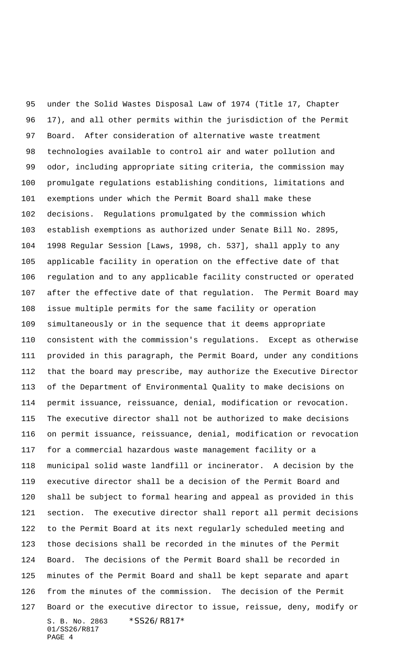S. B. No. 2863 \*SS26/R817\* 01/SS26/R817 PAGE 4 under the Solid Wastes Disposal Law of 1974 (Title 17, Chapter 17), and all other permits within the jurisdiction of the Permit Board. After consideration of alternative waste treatment technologies available to control air and water pollution and odor, including appropriate siting criteria, the commission may promulgate regulations establishing conditions, limitations and exemptions under which the Permit Board shall make these decisions. Regulations promulgated by the commission which establish exemptions as authorized under Senate Bill No. 2895, 1998 Regular Session [Laws, 1998, ch. 537], shall apply to any applicable facility in operation on the effective date of that regulation and to any applicable facility constructed or operated after the effective date of that regulation. The Permit Board may issue multiple permits for the same facility or operation simultaneously or in the sequence that it deems appropriate consistent with the commission's regulations. Except as otherwise provided in this paragraph, the Permit Board, under any conditions that the board may prescribe, may authorize the Executive Director of the Department of Environmental Quality to make decisions on permit issuance, reissuance, denial, modification or revocation. The executive director shall not be authorized to make decisions on permit issuance, reissuance, denial, modification or revocation for a commercial hazardous waste management facility or a municipal solid waste landfill or incinerator. A decision by the executive director shall be a decision of the Permit Board and shall be subject to formal hearing and appeal as provided in this section. The executive director shall report all permit decisions to the Permit Board at its next regularly scheduled meeting and those decisions shall be recorded in the minutes of the Permit Board. The decisions of the Permit Board shall be recorded in minutes of the Permit Board and shall be kept separate and apart from the minutes of the commission. The decision of the Permit Board or the executive director to issue, reissue, deny, modify or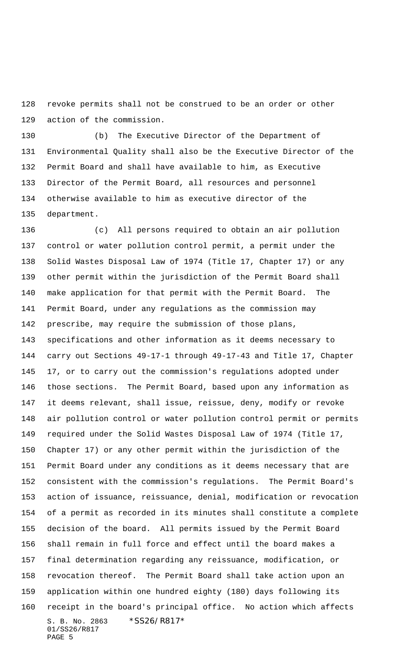revoke permits shall not be construed to be an order or other action of the commission.

 (b) The Executive Director of the Department of Environmental Quality shall also be the Executive Director of the Permit Board and shall have available to him, as Executive Director of the Permit Board, all resources and personnel otherwise available to him as executive director of the department.

S. B. No. 2863 \*SS26/R817\* 01/SS26/R817 PAGE 5 (c) All persons required to obtain an air pollution control or water pollution control permit, a permit under the Solid Wastes Disposal Law of 1974 (Title 17, Chapter 17) or any other permit within the jurisdiction of the Permit Board shall make application for that permit with the Permit Board. The Permit Board, under any regulations as the commission may prescribe, may require the submission of those plans, specifications and other information as it deems necessary to carry out Sections 49-17-1 through 49-17-43 and Title 17, Chapter 17, or to carry out the commission's regulations adopted under those sections. The Permit Board, based upon any information as it deems relevant, shall issue, reissue, deny, modify or revoke air pollution control or water pollution control permit or permits required under the Solid Wastes Disposal Law of 1974 (Title 17, Chapter 17) or any other permit within the jurisdiction of the Permit Board under any conditions as it deems necessary that are consistent with the commission's regulations. The Permit Board's action of issuance, reissuance, denial, modification or revocation of a permit as recorded in its minutes shall constitute a complete decision of the board. All permits issued by the Permit Board shall remain in full force and effect until the board makes a final determination regarding any reissuance, modification, or revocation thereof. The Permit Board shall take action upon an application within one hundred eighty (180) days following its receipt in the board's principal office. No action which affects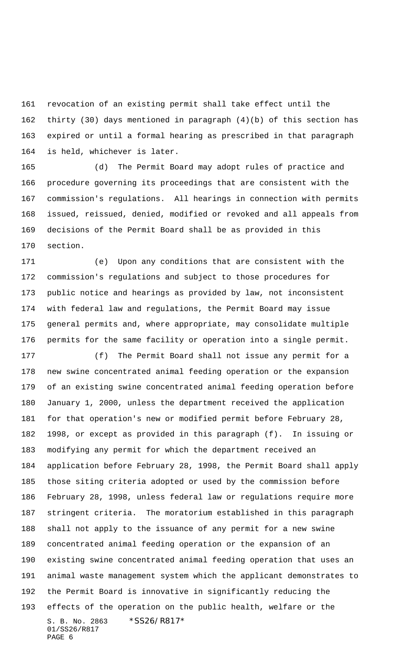revocation of an existing permit shall take effect until the thirty (30) days mentioned in paragraph (4)(b) of this section has expired or until a formal hearing as prescribed in that paragraph is held, whichever is later.

 (d) The Permit Board may adopt rules of practice and procedure governing its proceedings that are consistent with the commission's regulations. All hearings in connection with permits issued, reissued, denied, modified or revoked and all appeals from decisions of the Permit Board shall be as provided in this section.

 (e) Upon any conditions that are consistent with the commission's regulations and subject to those procedures for public notice and hearings as provided by law, not inconsistent with federal law and regulations, the Permit Board may issue general permits and, where appropriate, may consolidate multiple permits for the same facility or operation into a single permit.

S. B. No. 2863 \*SS26/R817\* 01/SS26/R817 PAGE 6 (f) The Permit Board shall not issue any permit for a new swine concentrated animal feeding operation or the expansion of an existing swine concentrated animal feeding operation before January 1, 2000, unless the department received the application for that operation's new or modified permit before February 28, 1998, or except as provided in this paragraph (f). In issuing or modifying any permit for which the department received an application before February 28, 1998, the Permit Board shall apply those siting criteria adopted or used by the commission before February 28, 1998, unless federal law or regulations require more stringent criteria. The moratorium established in this paragraph shall not apply to the issuance of any permit for a new swine concentrated animal feeding operation or the expansion of an existing swine concentrated animal feeding operation that uses an animal waste management system which the applicant demonstrates to the Permit Board is innovative in significantly reducing the effects of the operation on the public health, welfare or the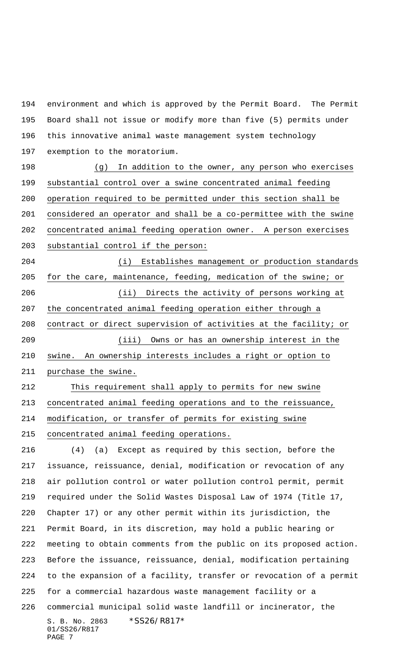environment and which is approved by the Permit Board. The Permit Board shall not issue or modify more than five (5) permits under this innovative animal waste management system technology exemption to the moratorium.

 (g) In addition to the owner, any person who exercises substantial control over a swine concentrated animal feeding operation required to be permitted under this section shall be considered an operator and shall be a co-permittee with the swine concentrated animal feeding operation owner. A person exercises substantial control if the person:

 (i) Establishes management or production standards for the care, maintenance, feeding, medication of the swine; or (ii) Directs the activity of persons working at the concentrated animal feeding operation either through a contract or direct supervision of activities at the facility; or (iii) Owns or has an ownership interest in the swine. An ownership interests includes a right or option to purchase the swine.

 This requirement shall apply to permits for new swine concentrated animal feeding operations and to the reissuance, modification, or transfer of permits for existing swine concentrated animal feeding operations.

S. B. No. 2863 \*SS26/R817\* 01/SS26/R817 PAGE 7 (4) (a) Except as required by this section, before the issuance, reissuance, denial, modification or revocation of any air pollution control or water pollution control permit, permit required under the Solid Wastes Disposal Law of 1974 (Title 17, Chapter 17) or any other permit within its jurisdiction, the Permit Board, in its discretion, may hold a public hearing or meeting to obtain comments from the public on its proposed action. Before the issuance, reissuance, denial, modification pertaining to the expansion of a facility, transfer or revocation of a permit for a commercial hazardous waste management facility or a commercial municipal solid waste landfill or incinerator, the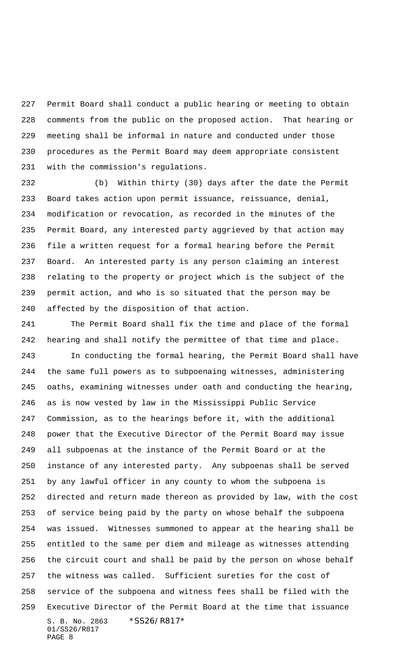Permit Board shall conduct a public hearing or meeting to obtain comments from the public on the proposed action. That hearing or meeting shall be informal in nature and conducted under those procedures as the Permit Board may deem appropriate consistent with the commission's regulations.

 (b) Within thirty (30) days after the date the Permit Board takes action upon permit issuance, reissuance, denial, modification or revocation, as recorded in the minutes of the Permit Board, any interested party aggrieved by that action may file a written request for a formal hearing before the Permit Board. An interested party is any person claiming an interest relating to the property or project which is the subject of the permit action, and who is so situated that the person may be affected by the disposition of that action.

S. B. No. 2863 \*SS26/R817\* 01/SS26/R817 PAGE 8 The Permit Board shall fix the time and place of the formal hearing and shall notify the permittee of that time and place. In conducting the formal hearing, the Permit Board shall have the same full powers as to subpoenaing witnesses, administering oaths, examining witnesses under oath and conducting the hearing, as is now vested by law in the Mississippi Public Service Commission, as to the hearings before it, with the additional power that the Executive Director of the Permit Board may issue all subpoenas at the instance of the Permit Board or at the instance of any interested party. Any subpoenas shall be served by any lawful officer in any county to whom the subpoena is directed and return made thereon as provided by law, with the cost of service being paid by the party on whose behalf the subpoena was issued. Witnesses summoned to appear at the hearing shall be entitled to the same per diem and mileage as witnesses attending the circuit court and shall be paid by the person on whose behalf the witness was called. Sufficient sureties for the cost of service of the subpoena and witness fees shall be filed with the Executive Director of the Permit Board at the time that issuance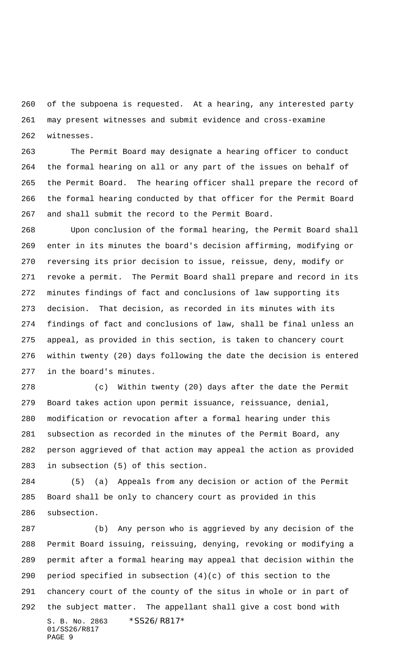of the subpoena is requested. At a hearing, any interested party may present witnesses and submit evidence and cross-examine witnesses.

 The Permit Board may designate a hearing officer to conduct the formal hearing on all or any part of the issues on behalf of the Permit Board. The hearing officer shall prepare the record of the formal hearing conducted by that officer for the Permit Board and shall submit the record to the Permit Board.

 Upon conclusion of the formal hearing, the Permit Board shall enter in its minutes the board's decision affirming, modifying or reversing its prior decision to issue, reissue, deny, modify or revoke a permit. The Permit Board shall prepare and record in its minutes findings of fact and conclusions of law supporting its decision. That decision, as recorded in its minutes with its findings of fact and conclusions of law, shall be final unless an appeal, as provided in this section, is taken to chancery court within twenty (20) days following the date the decision is entered in the board's minutes.

 (c) Within twenty (20) days after the date the Permit Board takes action upon permit issuance, reissuance, denial, modification or revocation after a formal hearing under this subsection as recorded in the minutes of the Permit Board, any person aggrieved of that action may appeal the action as provided in subsection (5) of this section.

 (5) (a) Appeals from any decision or action of the Permit Board shall be only to chancery court as provided in this subsection.

S. B. No. 2863 \*SS26/R817\* 01/SS26/R817 PAGE 9 (b) Any person who is aggrieved by any decision of the Permit Board issuing, reissuing, denying, revoking or modifying a permit after a formal hearing may appeal that decision within the 290 period specified in subsection  $(4)(c)$  of this section to the chancery court of the county of the situs in whole or in part of the subject matter. The appellant shall give a cost bond with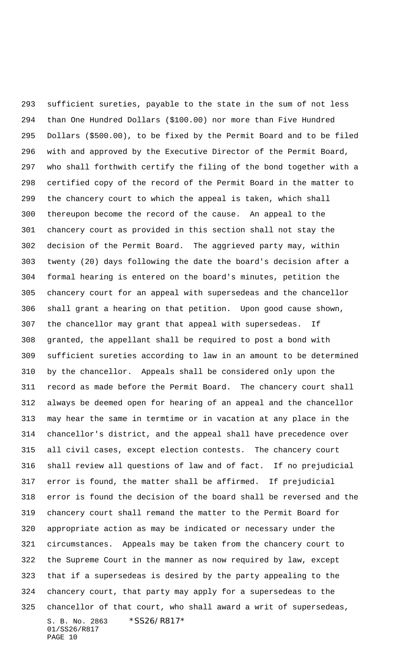S. B. No. 2863 \*SS26/R817\* 01/SS26/R817 PAGE 10 sufficient sureties, payable to the state in the sum of not less than One Hundred Dollars (\$100.00) nor more than Five Hundred Dollars (\$500.00), to be fixed by the Permit Board and to be filed with and approved by the Executive Director of the Permit Board, who shall forthwith certify the filing of the bond together with a certified copy of the record of the Permit Board in the matter to the chancery court to which the appeal is taken, which shall thereupon become the record of the cause. An appeal to the chancery court as provided in this section shall not stay the decision of the Permit Board. The aggrieved party may, within twenty (20) days following the date the board's decision after a formal hearing is entered on the board's minutes, petition the chancery court for an appeal with supersedeas and the chancellor shall grant a hearing on that petition. Upon good cause shown, the chancellor may grant that appeal with supersedeas. If granted, the appellant shall be required to post a bond with sufficient sureties according to law in an amount to be determined by the chancellor. Appeals shall be considered only upon the record as made before the Permit Board. The chancery court shall always be deemed open for hearing of an appeal and the chancellor may hear the same in termtime or in vacation at any place in the chancellor's district, and the appeal shall have precedence over all civil cases, except election contests. The chancery court shall review all questions of law and of fact. If no prejudicial error is found, the matter shall be affirmed. If prejudicial error is found the decision of the board shall be reversed and the chancery court shall remand the matter to the Permit Board for appropriate action as may be indicated or necessary under the circumstances. Appeals may be taken from the chancery court to the Supreme Court in the manner as now required by law, except that if a supersedeas is desired by the party appealing to the chancery court, that party may apply for a supersedeas to the chancellor of that court, who shall award a writ of supersedeas,